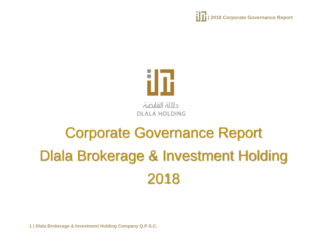**| 1 | 2018 Corporate Governance Report** 



# Corporate Governance Report Dlala Brokerage & Investment Holding 2018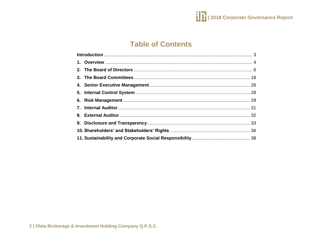

## **Table of Contents**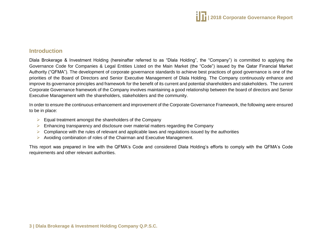

## <span id="page-2-0"></span>**Introduction**

Dlala Brokerage & Investment Holding (hereinafter referred to as "Dlala Holding", the "Company") is committed to applying the Governance Code for Companies & Legal Entities Listed on the Main Market (the "Code") issued by the Qatar Financial Market Authority ("QFMA"). The development of corporate governance standards to achieve best practices of good governance is one of the priorities of the Board of Directors and Senior Executive Management of Dlala Holding. The Company continuously enhance and improve its governance principles and framework for the benefit of its current and potential shareholders and stakeholders. The current Corporate Governance framework of the Company involves maintaining a good relationship between the board of directors and Senior Executive Management with the shareholders, stakeholders and the community.

In order to ensure the continuous enhancement and improvement of the Corporate Governance Framework, the following were ensured to be in place:

- $\triangleright$  Equal treatment amongst the shareholders of the Company
- $\triangleright$  Enhancing transparency and disclosure over material matters regarding the Company
- $\triangleright$  Compliance with the rules of relevant and applicable laws and regulations issued by the authorities
- $\triangleright$  Avoiding combination of roles of the Chairman and Executive Management.

This report was prepared in line with the QFMA's Code and considered Dlala Holding's efforts to comply with the QFMA's Code requirements and other relevant authorities.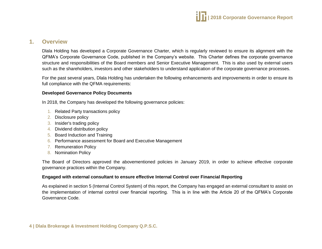

## <span id="page-3-0"></span>**1. Overview**

Dlala Holding has developed a Corporate Governance Charter, which is regularly reviewed to ensure its alignment with the QFMA's Corporate Governance Code, published in the Company's website. This Charter defines the corporate governance structure and responsibilities of the Board members and Senior Executive Management. This is also used by external users such as the shareholders, investors and other stakeholders to understand application of the corporate governance processes.

For the past several years, Dlala Holding has undertaken the following enhancements and improvements in order to ensure its full compliance with the QFMA requirements:

#### **Developed Governance Policy Documents**

In 2018, the Company has developed the following governance policies:

- 1. Related Party transactions policy
- 2. Disclosure policy
- 3. Insider's trading policy
- 4. Dividend distribution policy
- 5. Board Induction and Training
- 6. Performance assessment for Board and Executive Management
- 7. Remuneration Policy
- 8. Nomination Policy

The Board of Directors approved the abovementioned policies in January 2019, in order to achieve effective corporate governance practices within the Company.

#### **Engaged with external consultant to ensure effective Internal Control over Financial Reporting**

As explained in section 5 (Internal Control System) of this report, the Company has engaged an external consultant to assist on the implementation of internal control over financial reporting. This is in line with the Article 20 of the QFMA's Corporate Governance Code.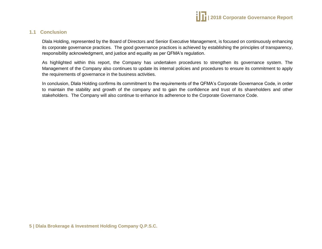

## **1.1 Conclusion**

Dlala Holding, represented by the Board of Directors and Senior Executive Management, is focused on continuously enhancing its corporate governance practices. The good governance practices is achieved by establishing the principles of transparency, responsibility acknowledgment, and justice and equality as per QFMA's regulation.

As highlighted within this report, the Company has undertaken procedures to strengthen its governance system. The Management of the Company also continues to update its internal policies and procedures to ensure its commitment to apply the requirements of governance in the business activities.

In conclusion, Dlala Holding confirms its commitment to the requirements of the QFMA's Corporate Governance Code, in order to maintain the stability and growth of the company and to gain the confidence and trust of its shareholders and other stakeholders. The Company will also continue to enhance its adherence to the Corporate Governance Code.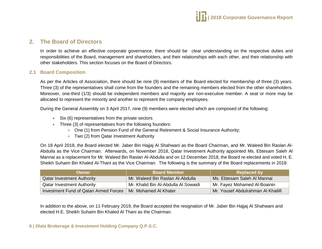

## <span id="page-5-0"></span>**2. The Board of Directors**

In order to achieve an effective corporate governance, there should be clear understanding on the respective duties and responsibilities of the Board, management and shareholders, and their relationships with each other, and their relationship with other stakeholders. This section focuses on the Board of Directors.

#### **2.1 Board Composition**

As per the Articles of Association, there should be nine (9) members of the Board elected for membership of three (3) years. Three (3) of the representatives shall come from the founders and the remaining members elected from the other shareholders. Moreover, one-third (1/3) should be independent members and majority are non-executive member. A seat or more may be allocated to represent the minority and another to represent the company employees.

During the General Assembly on 3 April 2017, nine (9) members were elected which are composed of the following:

- Six (6) representatives from the private sectors
- Three (3) of representatives from the following founders:
	- $\triangleright$  One (1) from Pension Fund of the General Retirement & Social Insurance Authority;
	- $\triangleright$  Two (2) from Qatar Investment Authority

On 18 April 2018, the Board elected Mr. Jaber Bin Hajjaj Al Shahwani as the Board Chairman, and Mr. Waleed Bin Raslan Al-Abdulla as the Vice Chairman. Afterwards, on November 2018, Qatar Investment Authority appointed Ms. Ebtesam Saleh Al Mannai as a replacement for Mr. Waleed Bin Raslan Al-Abdulla and on 12 December 2018, the Board re-elected and voted H. E. Sheikh Suhaim Bin Khaled Al-Thani as the Vice Chairman. The following is the summary of the Board replacements in 2018:

| Owner                                  | <b>Board Member</b>                  | <b>Replaced by</b>                 |
|----------------------------------------|--------------------------------------|------------------------------------|
| <b>Qatar Investment Authority</b>      | Mr. Waleed Bin Raslan Al-Abdulla     | Ms. Ebtesam Saleh Al Mannai        |
| <b>Qatar Investment Authority</b>      | Mr. Khalid Bin Al-Abdulla Al Sowaidi | Mr. Fayez Mohamed Al-Boainin       |
| Investment Fund of Qatari Armed Forces | Mr. Mohamed Al Khater                | Mr. Yousef Abdulrahman Al Khailifi |

In addition to the above, on 11 February 2019, the Board accepted the resignation of Mr. Jaber Bin Hajjaj Al Shahwani and elected H.E. Sheikh Suhaim Bin Khaled Al Thani as the Chairman.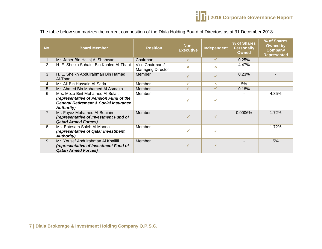The table below summarizes the current composition of the Dlala Holding Board of Directors as at 31 December 2018:

| No.            | <b>Board Member</b>                                                                                                                                   | <b>Position</b>                             | Non-<br><b>Executive</b> | Independent  | % of Shares<br><b>Personally</b><br><b>Owned</b> | % of Shares<br><b>Owned by</b><br><b>Company</b><br><b>Represented</b> |
|----------------|-------------------------------------------------------------------------------------------------------------------------------------------------------|---------------------------------------------|--------------------------|--------------|--------------------------------------------------|------------------------------------------------------------------------|
| $\mathbf 1$    | Mr. Jaber Bin Hajjaj Al Shahwani                                                                                                                      | Chairman                                    | ✓                        | $\checkmark$ | 0.25%                                            |                                                                        |
| $\overline{2}$ | H. E. Sheikh Suhaim Bin Khaled Al-Thani                                                                                                               | Vice Chairman /<br><b>Managing Director</b> | $\mathbf x$              | $\infty$     | 4.47%                                            |                                                                        |
| 3              | H. E. Sheikh Abdulrahman Bin Hamad<br>Al-Thani                                                                                                        | <b>Member</b>                               |                          |              | 0.23%                                            |                                                                        |
| 4              | Mr. Ali Bin Hussain Al-Sada                                                                                                                           | Member                                      | ✓                        | $\mathbf x$  | 5%                                               |                                                                        |
| 5              | Mr. Ahmed Bin Mohamed AI Asmakh                                                                                                                       | Member                                      | ✓                        | $\checkmark$ | 0.18%                                            |                                                                        |
| 6              | Mrs. Moza Bint Mohamed Al Sulaiti<br>(representative of Pension Fund of the<br><b>General Retirement &amp; Social Insurance</b><br><b>Authority</b> ) | Member                                      |                          |              |                                                  | 4.85%                                                                  |
| $\overline{7}$ | Mr. Fayez Mohamed Al-Boainin<br>(representative of Investment Fund of<br><b>Qatari Armed Forces)</b>                                                  | Member                                      |                          |              | 0.0006%                                          | 1.72%                                                                  |
| 8              | Ms. Ebtesam Saleh Al Mannai<br>(representative of Qatar Investment<br><b>Authority</b> )                                                              | Member                                      | ✓                        |              |                                                  | 1.72%                                                                  |
| 9              | Mr. Yousef Abdulrahman Al Khailifi<br>(representative of Investment Fund of<br><b>Qatari Armed Forces)</b>                                            | Member                                      |                          | $\infty$     |                                                  | 5%                                                                     |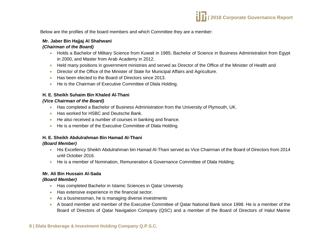

Below are the profiles of the board members and which Committee they are a member:

#### **Mr. Jaber Bin Hajjaj Al Shahwani**

#### *(Chairman of the Board)*

- Holds a Bachelor of Military Science from Kuwait in 1985; Bachelor of Science in Business Administration from Egypt in 2000, and Master from Arab Academy in 2012.
- Held many positions in government ministries and served as Director of the Office of the Minister of Health and
- Director of the Office of the Minister of State for Municipal Affairs and Agriculture.
- Has been elected to the Board of Directors since 2013.
- He is the Chairman of Executive Committee of Dlala Holding.

#### **H. E. Sheikh Suhaim Bin Khaled Al-Thani**

#### *(Vice Chairman of the Board)*

- Has completed a Bachelor of Business Administration from the University of Plymouth, UK.
- Has worked for HSBC and Deutsche Bank.
- He also received a number of courses in banking and finance.
- He is a member of the Executive Committee of Dlala Holding.

#### **H. E. Sheikh Abdulrahman Bin Hamad Al-Thani**

#### *(Board Member)*

- His Excellency Sheikh Abdulrahman bin Hamad Al-Thani served as Vice Chairman of the Board of Directors from 2014 until October 2016.
- He is a member of Nomination, Remuneration & Governance Committee of Dlala Holding.

#### **Mr. Ali Bin Hussain Al-Sada**

#### *(Board Member)*

- **Has completed Bachelor in Islamic Sciences in Qatar University**
- **Has extensive experience in the financial sector.**
- As a businessman, he is managing diverse investments
- A board member and member of the Executive Committee of Qatar National Bank since 1998. He is a member of the Board of Directors of Qatar Navigation Company (QSC) and a member of the Board of Directors of Halul Marine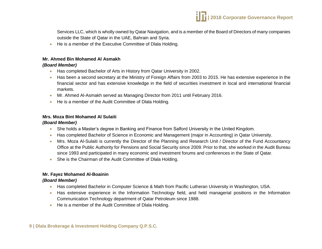

Services LLC, which is wholly owned by Qatar Navigation, and is a member of the Board of Directors of many companies outside the State of Qatar in the UAE, Bahrain and Syria.

• He is a member of the Executive Committee of Dlala Holding.

#### **Mr. Ahmed Bin Mohamed Al Asmakh**

#### *(Board Member)*

- Has completed Bachelor of Arts in History from Qatar University in 2002.
- Has been a second secretary at the Ministry of Foreign Affairs from 2003 to 2015. He has extensive experience in the financial sector and has extensive knowledge in the field of securities investment in local and international financial markets.
- Mr. Ahmed Al-Asmakh served as Managing Director from 2011 until February 2016.
- He is a member of the Audit Committee of Dlala Holding.

#### **Mrs. Moza Bint Mohamed Al Sulaiti**

#### *(Board Member)*

- She holds a Master's degree in Banking and Finance from Salford University in the United Kingdom.
- Has completed Bachelor of Science in Economic and Management (major in Accounting) in Qatar University.
- Mrs. Moza Al-Sulaiti is currently the Director of the Planning and Research Unit / Director of the Fund Accountancy Office at the Public Authority for Pensions and Social Security since 2009. Prior to that, she worked in the Audit Bureau since 1993 and participated in many economic and investment forums and conferences in the State of Qatar.
- She is the Chairman of the Audit Committee of Dlala Holding.

#### **Mr. Fayez Mohamed Al-Boainin**

#### *(Board Member)*

- Has completed Bachelor in Computer Science & Math from Pacific Lutheran University in Washington, USA.
- Has extensive experience in the Information Technology field, and held managerial positions in the Information Communication Technology department of Qatar Petroleum since 1988.
- He is a member of the Audit Committee of Dlala Holding.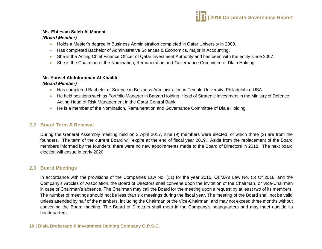#### **Ms. Ebtesam Saleh Al Mannai**

#### *(Board Member)*

- Holds a Master's degree in Business Administration completed in Qatar University in 2009.
- Has completed Bachelor of Administrative Sciences & Economics, major in Accounting.
- She is the Acting Chief Finance Officer of Qatar Investment Authority and has been with the entity since 2007.
- She is the Chairman of the Nomination, Remuneration and Governance Committee of Dlala Holding.

## **Mr. Yousef Abdulrahman Al Khailifi**

*(Board Member)*

- Has completed Bachelor of Science in Business Administration in Temple University, Philadelphia, USA.
- He held positions such as Portfolio Manager in Barzan Holding, Head of Strategic Investment in the Ministry of Defence, Acting Head of Risk Management in the Qatar Central Bank.
- He is a member of the Nomination, Remuneration and Governance Committee of Dlala Holding.

## **2.2 Board Term & Renewal**

During the General Assembly meeting held on 3 April 2017, nine (9) members were elected, of which three (3) are from the founders. The term of the current Board will expire at the end of fiscal year 2019. Aside from the replacement of the Board members informed by the founders, there were no new appointments made to the Board of Directors in 2018. The next board election will ensue in early 2020.

## **2.3 Board Meetings**

In accordance with the provisions of the Companies Law No. (11) for the year 2015, QFMA's Law No. (5) Of 2016, and the Company's Articles of Association, the Board of Directors shall convene upon the invitation of the Chairman, or Vice-Chairman in case of Chairman's absence. The Chairman may call the Board for the meeting upon a request by at least two of its members. The number of meetings should not be less than six meetings during the fiscal year. The meeting of the Board shall not be valid unless attended by half of the members, including the Chairman or the Vice-Chairman, and may not exceed three months without convening the Board meeting. The Board of Directors shall meet in the Company's headquarters and may meet outside its headquarters.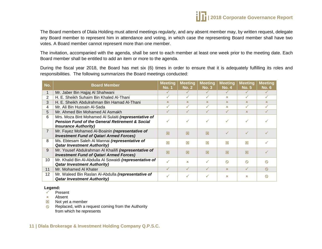

The Board members of Dlala Holding must attend meetings regularly, and any absent member may, by written request, delegate any Board member to represent him in attendance and voting, in which case the representing Board member shall have two votes. A Board member cannot represent more than one member.

The invitation, accompanied with the agenda, shall be sent to each member at least one week prior to the meeting date. Each Board member shall be entitled to add an item or more to the agenda.

During the fiscal year 2018, the Board has met six (6) times in order to ensure that it is adequately fulfilling its roles and responsibilities. The following summarizes the Board meetings conducted:

| No.            | <b>Board Member</b>                                        | <b>Meeting</b><br><b>No. 1</b> | <b>Meeting</b><br><b>No. 2</b> | <b>Meeting</b><br>No. 3 | <b>Meeting</b><br><b>No. 4</b> | <b>Meeting</b><br><b>No. 5</b> | <b>Meeting</b><br><b>No. 6</b> |
|----------------|------------------------------------------------------------|--------------------------------|--------------------------------|-------------------------|--------------------------------|--------------------------------|--------------------------------|
|                | Mr. Jaber Bin Hajjaj Al Shahwani                           |                                | ✓                              |                         |                                |                                |                                |
| $\overline{2}$ | H. E. Sheikh Suhaim Bin Khaled Al-Thani                    |                                | $\checkmark$                   |                         | x                              |                                | ✓                              |
| 3              | H. E. Sheikh Abdulrahman Bin Hamad Al-Thani                | x                              | $\mathbf x$                    | $\mathbf x$             | $\mathbf x$                    | $\mathbf x$                    | $\infty$                       |
| 4              | Mr. Ali Bin Hussain Al-Sada                                |                                | ✓                              | $\checkmark$            | ×                              |                                |                                |
| 5.             | Mr. Ahmed Bin Mohamed Al Asmakh                            |                                |                                |                         |                                | $\mathbf x$                    |                                |
| 6              | Mrs. Moza Bint Mohamed Al Sulaiti (representative of       |                                |                                |                         |                                |                                |                                |
|                | <b>Pension Fund of the General Retirement &amp; Social</b> |                                |                                | $\checkmark$            |                                |                                |                                |
|                | <b>Insurance Authority)</b>                                |                                |                                |                         |                                |                                |                                |
| $\overline{7}$ | Mr. Fayez Mohamed Al-Boainin (representative of            | 冈                              | 図                              | 冈                       |                                |                                |                                |
|                | <b>Investment Fund of Qatari Armed Forces)</b>             |                                |                                |                         |                                |                                |                                |
| 8              | Ms. Ebtesam Saleh Al Mannai (representative of             | 冈                              | 冈                              | 冈                       | 区                              | 冈                              |                                |
|                | <b>Qatar Investment Authority)</b>                         |                                |                                |                         |                                |                                |                                |
| 9              | Mr. Yousef Abdulrahman Al Khailifi (representative of      | 冈                              | 冈                              | 冈                       | 図                              | 冈                              |                                |
|                | <b>Investment Fund of Qatari Armed Forces)</b>             |                                |                                |                         |                                |                                |                                |
| 10             | Mr. Khalid Bin Al-Abdulla Al Sowaidi (representative of    | ✓                              | $\mathbf x$                    | $\checkmark$            | $\infty$                       | $\infty$                       | $\infty$                       |
|                | <b>Qatar Investment Authority)</b>                         |                                |                                |                         |                                |                                |                                |
| 11             | Mr. Mohamed Al Khater                                      | ✓                              | ✓                              | $\checkmark$            | x                              | ✓                              | $\circ$                        |
| 12             | Mr. Waleed Bin Raslan Al-Abdulla (representative of        |                                | ✓                              | $\checkmark$            | ×                              | x                              | $\infty$                       |
|                | <b>Qatar Investment Authority)</b>                         |                                |                                |                         |                                |                                |                                |

#### **Legend:**

- $\checkmark$  Present
- Absent
- $\boxtimes$  Not yet a member
- $\otimes$  Replaced, with a request coming from the Authority from which he represents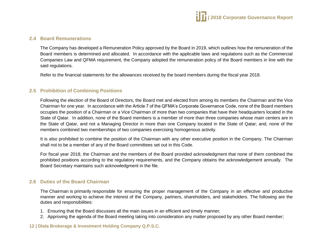

#### **2.4 Board Remunerations**

The Company has developed a Remuneration Policy approved by the Board in 2019, which outlines how the remuneration of the Board members is determined and allocated. In accordance with the applicable laws and regulations such as the Commercial Companies Law and QFMA requirement, the Company adopted the remuneration policy of the Board members in line with the said regulations.

Refer to the financial statements for the allowances received by the board members during the fiscal year 2018.

#### **2.5 Prohibition of Combining Positions**

Following the election of the Board of Directors, the Board met and elected from among its members the Chairman and the Vice Chairman for one year. In accordance with the Article 7 of the QFMA's Corporate Governance Code, none of the Board members occupies the position of a Chairman or a Vice Chairman of more than two companies that have their headquarters located in the State of Qatar. In addition, none of the Board members is a member of more than three companies whose main centers are in the State of Qatar, and not a Managing Director in more than one Company located in the State of Qatar; and, none of the members combined two memberships of two companies exercising homogenous activity.

It is also prohibited to combine the position of the Chairman with any other executive position in the Company. The Chairman shall not to be a member of any of the Board committees set out in this Code.

For fiscal year 2018, the Chairman and the members of the Board provided acknowledgment that none of them combined the prohibited positions according to the regulatory requirements, and the Company obtains the acknowledgement annually. The Board Secretary maintains such acknowledgment in the file.

#### **2.6 Duties of the Board Chairman**

The Chairman is primarily responsible for ensuring the proper management of the Company in an effective and productive manner and working to achieve the interest of the Company, partners, shareholders, and stakeholders. The following are the duties and responsibilities:

- 1. Ensuring that the Board discusses all the main issues in an efficient and timely manner;
- 2. Approving the agenda of the Board meeting taking into consideration any matter proposed by any other Board member;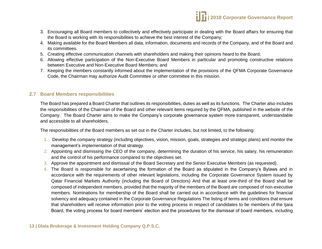

- 3. Encouraging all Board members to collectively and effectively participate in dealing with the Board affairs for ensuring that the Board is working with its responsibilities to achieve the best interest of the Company;
- 4. Making available for the Board Members all data, information, documents and records of the Company, and of the Board and its committees.
- 5. Creating effective communication channels with shareholders and making their opinions heard to the Board;
- 6. Allowing effective participation of the Non-Executive Board Members in particular and promoting constructive relations between Executive and Non-Executive Board Members; and
- 7. Keeping the members constantly informed about the implementation of the provisions of the QFMA Corporate Governance Code, the Chairman may authorize Audit Committee or other committee in this mission.

#### **2.7 Board Members responsibilities**

The Board has prepared a Board Charter that outlines its responsibilities, duties as well as its functions. The Charter also includes the responsibilities of the Chairman of the Board and other relevant items required by the QFMA, published in the website of the Company. The Board Charter aims to make the Company's corporate governance system more transparent, understandable and accessible to all shareholders.

The responsibilities of the Board members as set out in the Charter includes, but not limited, to the following:

- 1. Develop the company strategy (including objectives, vision, mission, goals, strategies and strategic plans) and monitor the management's implementation of that strategy.
- 2. Appointing and dismissing the CEO of the company, determining the duration of his service, his salary, his remuneration and the control of his performance compared to the objectives set.
- 3. Approve the appointment and dismissal of the Board Secretary and the Senior Executive Members (as requested).
- 4. The Board is responsible for ascertaining the formation of the Board as stipulated in the Company's Bylaws and in accordance with the requirements of other relevant legislations, including the Corporate Governance System issued by Qatar Financial Markets Authority (including the Board of Directors) And that at least one-third of the Board shall be composed of independent members, provided that the majority of the members of the Board are composed of non-executive members. Nominations for membership of the Board shall be carried out in accordance with the guidelines for financial solvency and adequacy contained in the Corporate Governance Regulations The listing of terms and conditions that ensure that shareholders will receive information prior to the voting process in respect of candidates to be members of the Ijara Board, the voting process for board members' election and the procedures for the dismissal of board members, including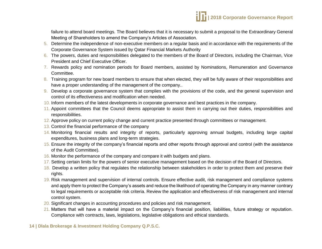failure to attend board meetings. The Board believes that it is necessary to submit a proposal to the Extraordinary General Meeting of Shareholders to amend the Company's Articles of Association.

- 5. Determine the independence of non-executive members on a regular basis and in accordance with the requirements of the Corporate Governance System issued by Qatar Financial Markets Authority
- 6. The powers, duties and responsibilities delegated to the members of the Board of Directors, including the Chairman, Vice President and Chief Executive Officer.
- 7. Rewards policy and nomination periods for Board members, assisted by Nominations, Remuneration and Governance Committee.
- 8. Training program for new board members to ensure that when elected, they will be fully aware of their responsibilities and have a proper understanding of the management of the company..
- 9. Develop a corporate governance system that complies with the provisions of the code, and the general supervision and control of its effectiveness and modification when needed.
- 10. Inform members of the latest developments in corporate governance and best practices in the company.
- 11. Appoint committees that the Council deems appropriate to assist them in carrying out their duties, responsibilities and responsibilities.
- 12. Approve policy on current policy change and current practice presented through committees or management.
- 13. Control the financial performance of the company
- 14. Monitoring financial results and integrity of reports, particularly approving annual budgets, including large capital expenditures, business plans and long-term strategies.
- 15. Ensure the integrity of the company's financial reports and other reports through approval and control (with the assistance of the Audit Committee).
- 16. Monitor the performance of the company and compare it with budgets and plans.
- 17. Setting certain limits for the powers of senior executive management based on the decision of the Board of Directors.
- 18. Develop a written policy that regulates the relationship between stakeholders in order to protect them and preserve their rights.
- 19. Risk management and supervision of internal controls. Ensure effective audit, risk management and compliance systems and apply them to protect the Company's assets and reduce the likelihood of operating the Company in any manner contrary to legal requirements or acceptable risk criteria. Review the application and effectiveness of risk management and internal control system.
- 20. Significant changes in accounting procedures and policies and risk management.
- 21. Matters that will have a material impact on the Company's financial position, liabilities, future strategy or reputation. Compliance with contracts, laws, legislations, legislative obligations and ethical standards.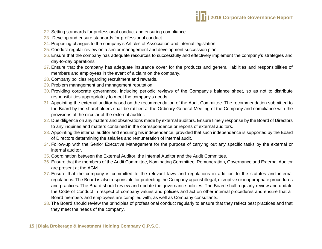

- 22. Setting standards for professional conduct and ensuring compliance.
- 23. Develop and ensure standards for professional conduct.
- 24. Proposing changes to the company's Articles of Association and internal legislation.
- 25. Conduct regular review on a senior management and development succession plan
- 26. Ensure that the company has adequate resources to successfully and effectively implement the company's strategies and day-to-day operations.
- 27. Ensure that the company has adequate insurance cover for the products and general liabilities and responsibilities of members and employees in the event of a claim on the company.
- 28. Company policies regarding recruitment and rewards.
- 29. Problem management and management reputation.
- 30. Providing corporate governance, including periodic reviews of the Company's balance sheet, so as not to distribute responsibilities appropriately to meet the company's needs.
- 31. Appointing the external auditor based on the recommendation of the Audit Committee. The recommendation submitted to the Board by the shareholders shall be ratified at the Ordinary General Meeting of the Company and compliance with the provisions of the circular of the external auditor.
- 32. Due diligence on any matters and observations made by external auditors. Ensure timely response by the Board of Directors to any inquiries and matters contained in the correspondence or reports of external auditors.
- 33. Appointing the internal auditor and ensuring his independence, provided that such independence is supported by the Board of Directors determining the salaries and remuneration of internal audit.
- 34. Follow-up with the Senior Executive Management for the purpose of carrying out any specific tasks by the external or internal auditor.
- 35. Coordination between the External Auditor, the Internal Auditor and the Audit Committee.
- 36. Ensure that the members of the Audit Committee, Nominating Committee, Remuneration, Governance and External Auditor are present at the AGM.
- 37. Ensure that the company is committed to the relevant laws and regulations in addition to the statutes and internal regulations. The Board is also responsible for protecting the Company against illegal, disruptive or inappropriate procedures and practices. The Board should review and update the governance policies. The Board shall regularly review and update the Code of Conduct in respect of company values and policies and act on other internal procedures and ensure that all Board members and employees are complied with, as well as Company consultants.
- 38. The Board should review the principles of professional conduct regularly to ensure that they reflect best practices and that they meet the needs of the company.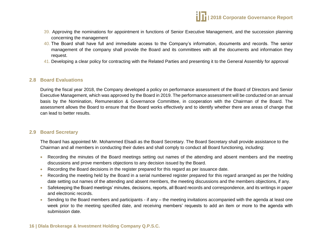- 39. Approving the nominations for appointment in functions of Senior Executive Management, and the succession planning concerning the management
- 40. The Board shall have full and immediate access to the Company's information, documents and records. The senior management of the company shall provide the Board and its committees with all the documents and information they request.
- 41. Developing a clear policy for contracting with the Related Parties and presenting it to the General Assembly for approval

#### **2.8 Board Evaluations**

During the fiscal year 2018, the Company developed a policy on performance assessment of the Board of Directors and Senior Executive Management, which was approved by the Board in 2019. The performance assessment will be conducted on an annual basis by the Nomination, Remuneration & Governance Committee, in cooperation with the Chairman of the Board. The assessment allows the Board to ensure that the Board works effectively and to identify whether there are areas of change that can lead to better results.

#### **2.9 Board Secretary**

The Board has appointed Mr. Mohammed Elsadi as the Board Secretary. The Board Secretary shall provide assistance to the Chairman and all members in conducting their duties and shall comply to conduct all Board functioning, including:

- Recording the minutes of the Board meetings setting out names of the attending and absent members and the meeting discussions and prove members objections to any decision issued by the Board.
- Recording the Board decisions in the register prepared for this regard as per issuance date.
- Recording the meeting held by the Board in a serial numbered register prepared for this regard arranged as per the holding date setting out names of the attending and absent members, the meeting discussions and the members objections, if any.
- Safekeeping the Board meetings' minutes, decisions, reports, all Board records and correspondence, and its writings in paper and electronic records.
- Sending to the Board members and participants if any the meeting invitations accompanied with the agenda at least one week prior to the meeting specified date, and receiving members' requests to add an item or more to the agenda with submission date.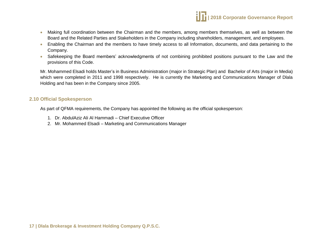

- Making full coordination between the Chairman and the members, among members themselves, as well as between the Board and the Related Parties and Stakeholders in the Company including shareholders, management, and employees.
- Enabling the Chairman and the members to have timely access to all Information, documents, and data pertaining to the Company.
- Safekeeping the Board members' acknowledgments of not combining prohibited positions pursuant to the Law and the provisions of this Code.

Mr. Mohammed Elsadi holds Master's in Business Administration (major in Strategic Plan) and Bachelor of Arts (major in Media) which were completed in 2011 and 1998 respectively. He is currently the Marketing and Communications Manager of Dlala Holding and has been in the Company since 2005.

#### **2.10 Official Spokesperson**

As part of QFMA requirements, the Company has appointed the following as the official spokesperson:

- 1. Dr. AbdulAziz Ali Al Hammadi Chief Executive Officer
- 2. Mr. Mohammed Elsadi Marketing and Communications Manager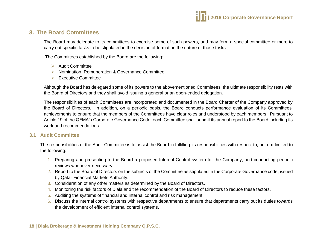

## <span id="page-17-0"></span>**3. The Board Committees**

The Board may delegate to its committees to exercise some of such powers, and may form a special committee or more to carry out specific tasks to be stipulated in the decision of formation the nature of those tasks

The Committees established by the Board are the following:

- $\triangleright$  Audit Committee
- $\triangleright$  Nomination, Remuneration & Governance Committee
- $\triangleright$  Executive Committee

Although the Board has delegated some of its powers to the abovementioned Committees, the ultimate responsibility rests with the Board of Directors and they shall avoid issuing a general or an open-ended delegation.

The responsibilities of each Committees are incorporated and documented in the Board Charter of the Company approved by the Board of Directors. In addition, on a periodic basis, the Board conducts performance evaluation of its Committees' achievements to ensure that the members of the Committees have clear roles and understood by each members. Pursuant to Article 19 of the QFMA's Corporate Governance Code, each Committee shall submit its annual report to the Board including its work and recommendations.

#### **3.1 Audit Committee**

The responsibilities of the Audit Committee is to assist the Board in fulfilling its responsibilities with respect to, but not limited to the following:

- 1. Preparing and presenting to the Board a proposed Internal Control system for the Company, and conducting periodic reviews whenever necessary.
- 2. Report to the Board of Directors on the subjects of the Committee as stipulated in the Corporate Governance code, issued by Qatar Financial Markets Authority.
- 3. Consideration of any other matters as determined by the Board of Directors.
- 4. Monitoring the risk factors of Dlala and the recommendation of the Board of Directors to reduce these factors.
- 5. Auditing the systems of financial and internal control and risk management.
- 6. Discuss the internal control systems with respective departments to ensure that departments carry out its duties towards the development of efficient internal control systems.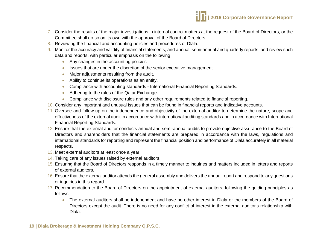

- 7. Consider the results of the major investigations in internal control matters at the request of the Board of Directors, or the Committee shall do so on its own with the approval of the Board of Directors.
- 8. Reviewing the financial and accounting policies and procedures of Dlala.
- 9. Monitor the accuracy and validity of financial statements, and annual, semi-annual and quarterly reports, and review such data and reports, with particular emphasis on the following:
	- Any changes in the accounting policies
	- Issues that are under the discretion of the senior executive management.
	- Major adjustments resulting from the audit.
	- Ability to continue its operations as an entity.
	- Compliance with accounting standards International Financial Reporting Standards.
	- Adhering to the rules of the Qatar Exchange.
	- Compliance with disclosure rules and any other requirements related to financial reporting.
- 10. Consider any important and unusual issues that can be found in financial reports and indicative accounts.
- 11. Oversee and follow up on the independence and objectivity of the external auditor to determine the nature, scope and effectiveness of the external audit in accordance with international auditing standards and in accordance with International Financial Reporting Standards.
- 12. Ensure that the external auditor conducts annual and semi-annual audits to provide objective assurance to the Board of Directors and shareholders that the financial statements are prepared in accordance with the laws, regulations and international standards for reporting and represent the financial position and performance of Dlala accurately in all material respects.
- 13. Meet external auditors at least once a year.
- 14. Taking care of any issues raised by external auditors.
- 15. Ensuring that the Board of Directors responds in a timely manner to inquiries and matters included in letters and reports of external auditors.
- 16. Ensure that the external auditor attends the general assembly and delivers the annual report and respond to any questions or inquiries in this regard
- 17. Recommendation to the Board of Directors on the appointment of external auditors, following the guiding principles as follows:
	- The external auditors shall be independent and have no other interest in Dlala or the members of the Board of Directors except the audit. There is no need for any conflict of interest in the external auditor's relationship with Dlala.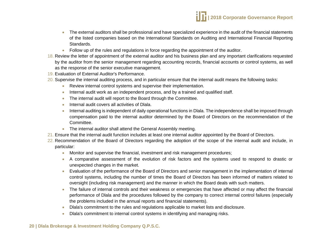- The external auditors shall be professional and have specialized experience in the audit of the financial statements of the listed companies based on the International Standards on Auditing and International Financial Reporting Standards.
- Follow up of the rules and regulations in force regarding the appointment of the auditor.
- 18. Review the letter of appointment of the external auditor and his business plan and any important clarifications requested by the auditor from the senior management regarding accounting records, financial accounts or control systems, as well as the response of the senior executive management.
- 19. Evaluation of External Auditor's Performance.
- 20. Supervise the internal auditing process, and in particular ensure that the internal audit means the following tasks:
	- Review internal control systems and supervise their implementation.
	- Internal audit work as an independent process, and by a trained and qualified staff.
	- The internal audit will report to the Board through the Committee.
	- Internal audit covers all activities of Dlala.
	- Internal auditing is independent of daily operational functions in Dlala. The independence shall be imposed through compensation paid to the internal auditor determined by the Board of Directors on the recommendation of the Committee.
	- The internal auditor shall attend the General Assembly meeting.
- 21. Ensure that the internal audit function includes at least one internal auditor appointed by the Board of Directors.
- 22. Recommendation of the Board of Directors regarding the adoption of the scope of the internal audit and include, in particular:
	- Monitor and supervise the financial, investment and risk management procedures;
	- A comparative assessment of the evolution of risk factors and the systems used to respond to drastic or unexpected changes in the market.
	- Evaluation of the performance of the Board of Directors and senior management in the implementation of internal control systems, including the number of times the Board of Directors has been informed of matters related to oversight (including risk management) and the manner in which the Board deals with such matters.
	- The failure of internal controls and their weakness or emergencies that have affected or may affect the financial performance of Dlala and the procedures followed by the company to correct internal control failures (especially the problems included in the annual reports and financial statements).
	- Dlala's commitment to the rules and regulations applicable to market lists and disclosure.
	- Dlala's commitment to internal control systems in identifying and managing risks.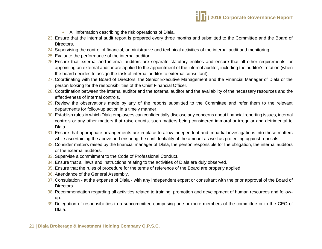- All information describing the risk operations of Dlala.
- 23. Ensure that the internal audit report is prepared every three months and submitted to the Committee and the Board of Directors.
- 24. Supervising the control of financial, administrative and technical activities of the internal audit and monitoring.
- 25. Evaluate the performance of the internal auditor.
- 26. Ensure that external and internal auditors are separate statutory entities and ensure that all other requirements for appointing an external auditor are applied to the appointment of the internal auditor, including the auditor's rotation (when the board decides to assign the task of internal auditor to external consultant).
- 27. Coordinating with the Board of Directors, the Senior Executive Management and the Financial Manager of Dlala or the person looking for the responsibilities of the Chief Financial Officer.
- 28. Coordination between the internal auditor and the external auditor and the availability of the necessary resources and the effectiveness of internal controls.
- 29. Review the observations made by any of the reports submitted to the Committee and refer them to the relevant departments for follow-up action in a timely manner.
- 30. Establish rules in which Dlala employees can confidentially disclose any concerns about financial reporting issues, internal controls or any other matters that raise doubts, such matters being considered immoral or irregular and detrimental to Dlala.
- 31. Ensure that appropriate arrangements are in place to allow independent and impartial investigations into these matters while ascertaining the above and ensuring the confidentiality of the amount as well as protecting against reprisals.
- 32. Consider matters raised by the financial manager of Dlala, the person responsible for the obligation, the internal auditors or the external auditors.
- 33. Supervise a commitment to the Code of Professional Conduct.
- 34. Ensure that all laws and instructions relating to the activities of Dlala are duly observed.
- 35. Ensure that the rules of procedure for the terms of reference of the Board are properly applied;
- 36. Attendance of the General Assembly.
- 37. Consultation at the expense of Dlala with any independent expert or consultant with the prior approval of the Board of Directors.
- 38. Recommendation regarding all activities related to training, promotion and development of human resources and followup.
- 39. Delegation of responsibilities to a subcommittee comprising one or more members of the committee or to the CEO of Dlala.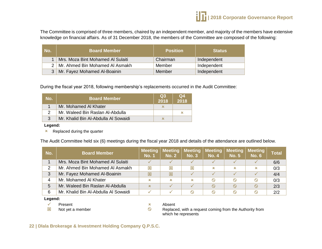

The Committee is comprised of three members, chaired by an independent member, and majority of the members have extensive knowledge on financial affairs. As of 31 December 2018, the members of the Committee are composed of the following:

| No. | <b>Board Member</b>                 | <b>Position</b> | <b>Status</b> |
|-----|-------------------------------------|-----------------|---------------|
|     | 1 Mrs. Moza Bint Mohamed Al Sulaiti | Chairman        | Independent   |
|     | 2   Mr. Ahmed Bin Mohamed Al Asmakh | Member          | Independent   |
|     | 3 Mr. Fayez Mohamed Al-Boainin      | Member          | Independent   |

During the fiscal year 2018, following membership's replacements occurred in the Audit Committee:

| No. | <b>Board Member</b>                  | Q3<br>2018                | Q4<br>2018 |
|-----|--------------------------------------|---------------------------|------------|
|     | Mr. Mohamed Al Khater                | $\boldsymbol{\mathsf{x}}$ |            |
|     | Mr. Waleed Bin Raslan Al-Abdulla     |                           | ×          |
| 3   | Mr. Khalid Bin Al-Abdulla Al Sowaidi | ×                         |            |

**Legend:**

 $x$  Replaced during the quarter

The Audit Committee held six (6) meetings during the fiscal year 2018 and details of the attendance are outlined below.

| No. | <b>Board Member</b>                  | <b>Meeting</b><br><b>No. 1</b> | <b>Meeting</b><br>No. 2 | Meeting<br><b>No. 3</b> | <b>Meeting</b><br><b>No. 4</b> | <b>Meeting</b><br><b>No. 5</b> | <b>Meeting</b><br><b>No. 6</b> | <b>Total</b> |
|-----|--------------------------------------|--------------------------------|-------------------------|-------------------------|--------------------------------|--------------------------------|--------------------------------|--------------|
|     | Mrs. Moza Bint Mohamed Al Sulaiti    |                                |                         |                         |                                |                                |                                | 6/6          |
| າ   | Mr. Ahmed Bin Mohamed AI Asmakh      | ⊠                              | ⊠                       | ⊠                       | x                              | ×                              | ×                              | 0/3          |
| 3   | Mr. Fayez Mohamed Al-Boainin         | 図                              | 図                       |                         |                                |                                |                                | 4/4          |
|     | Mr. Mohamed Al Khater                | ×                              | $\boldsymbol{\times}$   | $\mathbf x$             | $\circ$                        | ↷                              | $\infty$                       | 0/3          |
| 5   | Mr. Waleed Bin Raslan Al-Abdulla     | $\mathbf x$                    |                         |                         | $\circ$                        | $\mathcal{L}$                  | $\infty$                       | 2/3          |
| 6   | Mr. Khalid Bin Al-Abdulla Al Sowaidi |                                |                         | $\infty$                | $\infty$                       |                                |                                | 2/2          |

**Legend:**

図

 $\sqrt{ }$  Present  $\frac{1}{2}$  Present  $\frac{1}{2}$  Absent

Replaced, with a request coming from the Authority from which he represents

Not yet a member  $\otimes$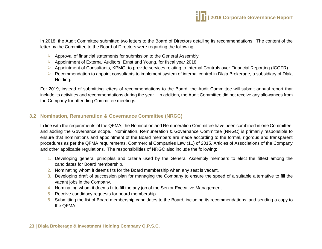In 2018, the Audit Committee submitted two letters to the Board of Directors detailing its recommendations. The content of the letter by the Committee to the Board of Directors were regarding the following:

- $\triangleright$  Approval of financial statements for submission to the General Assembly
- Appointment of External Auditors, Ernst and Young, for fiscal year 2018
- Appointment of Consultants, KPMG, to provide services relating to Internal Controls over Financial Reporting (ICOFR)
- $\triangleright$  Recommendation to appoint consultants to implement system of internal control in Dlala Brokerage, a subsidiary of Dlala Holding.

For 2019, instead of submitting letters of recommendations to the Board, the Audit Committee will submit annual report that include its activities and recommendations during the year. In addition, the Audit Committee did not receive any allowances from the Company for attending Committee meetings.

## **3.2 Nomination, Remuneration & Governance Committee (NRGC)**

In line with the requirements of the QFMA, the Nomination and Remuneration Committee have been combined in one Committee, and adding the Governance scope. Nomination, Remuneration & Governance Committee (NRGC) is primarily responsible to ensure that nominations and appointment of the Board members are made according to the formal, rigorous and transparent procedures as per the QFMA requirements, Commercial Companies Law (11) of 2015, Articles of Associations of the Company and other applicable regulations. The responsibilities of NRGC also include the following:

- 1. Developing general principles and criteria used by the General Assembly members to elect the fittest among the candidates for Board membership.
- 2. Nominating whom it deems fits for the Board membership when any seat is vacant.
- 3. Developing draft of succession plan for managing the Company to ensure the speed of a suitable alternative to fill the vacant jobs in the Company.
- 4. Nominating whom it deems fit to fill the any job of the Senior Executive Management.
- 5. Receive candidacy requests for board membership.
- 6. Submitting the list of Board membership candidates to the Board, including its recommendations, and sending a copy to the QFMA.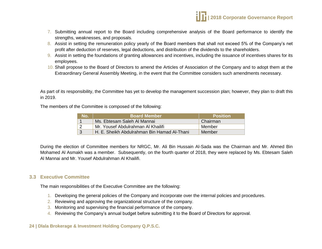

- 7. Submitting annual report to the Board including comprehensive analysis of the Board performance to identify the strengths, weaknesses, and proposals.
- 8. Assist in setting the remuneration policy yearly of the Board members that shall not exceed 5% of the Company's net profit after deduction of reserves, legal deductions, and distribution of the dividends to the shareholders.
- 9. Assist in setting the foundations of granting allowances and incentives, including the issuance of incentives shares for its employees.
- 10. Shall propose to the Board of Directors to amend the Articles of Association of the Company and to adopt them at the Extraordinary General Assembly Meeting, in the event that the Committee considers such amendments necessary.

As part of its responsibility, the Committee has yet to develop the management succession plan; however, they plan to draft this in 2019.

The members of the Committee is composed of the following:

| No. | ⊦Board Member                               | <b>Position</b> |
|-----|---------------------------------------------|-----------------|
|     | Ms. Ebtesam Saleh Al Mannai                 | Chairman        |
|     | Mr. Yousef Abdulrahman Al Khailifi          | Member          |
| । २ | H. E. Sheikh Abdulrahman Bin Hamad Al-Thani | Member          |

During the election of Committee members for NRGC, Mr. Ali Bin Hussain Al-Sada was the Chairman and Mr. Ahmed Bin Mohamed Al Asmakh was a member. Subsequently, on the fourth quarter of 2018, they were replaced by Ms. Ebtesam Saleh Al Mannai and Mr. Yousef Abdulrahman Al Khailifi.

#### **3.3 Executive Committee**

The main responsibilities of the Executive Committee are the following:

- 1. Developing the general policies of the Company and incorporate over the internal policies and procedures.
- 2. Reviewing and approving the organizational structure of the company.
- 3. Monitoring and supervising the financial performance of the company.
- 4. Reviewing the Company's annual budget before submitting it to the Board of Directors for approval.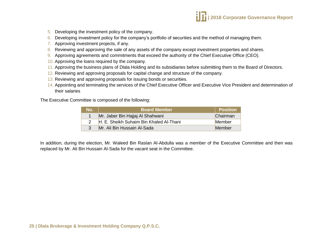

- 5. Developing the investment policy of the company.
- 6. Developing investment policy for the company's portfolio of securities and the method of managing them.
- 7. Approving investment projects, if any.
- 8. Reviewing and approving the sale of any assets of the company except investment properties and shares.
- 9. Approving agreements and commitments that exceed the authority of the Chief Executive Office (CEO).
- 10. Approving the loans required by the company.
- 11. Approving the business plans of Dlala Holding and its subsidiaries before submitting them to the Board of Directors.
- 12. Reviewing and approving proposals for capital change and structure of the company.
- 13. Reviewing and approving proposals for issuing bonds or securities.
- 14. Appointing and terminating the services of the Chief Executive Officer and Executive Vice President and determination of their salaries

The Executive Committee is composed of the following:

| No. | <b>Board Member</b>                     | <b>Position</b> |
|-----|-----------------------------------------|-----------------|
|     | Mr. Jaber Bin Hajjaj Al Shahwani        | Chairman        |
|     | H. E. Sheikh Suhaim Bin Khaled Al-Thani | <b>Member</b>   |
|     | Mr. Ali Bin Hussain Al-Sada             | Member          |

In addition, during the election, Mr. Waleed Bin Raslan Al-Abdulla was a member of the Executive Committee and then was replaced by Mr. Ali Bin Hussain Al-Sada for the vacant seat in the Committee.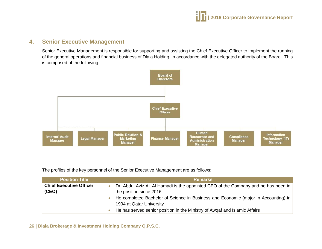

## <span id="page-25-0"></span>**4. Senior Executive Management**

Senior Executive Management is responsible for supporting and assisting the Chief Executive Officer to implement the running of the general operations and financial business of Dlala Holding, in accordance with the delegated authority of the Board. This is comprised of the following:



The profiles of the key personnel of the Senior Executive Management are as follows:

| <b>Position Title</b>                   | <b>Remarks</b>                                                                                                                                                                                                                                                                                                  |
|-----------------------------------------|-----------------------------------------------------------------------------------------------------------------------------------------------------------------------------------------------------------------------------------------------------------------------------------------------------------------|
| <b>Chief Executive Officer</b><br>(CEO) | Dr. Abdul Aziz Ali Al Hamadi is the appointed CEO of the Company and he has been in<br>the position since 2016.<br>He completed Bachelor of Science in Business and Economic (major in Accounting) in<br>1994 at Qatar University<br>He has served senior position in the Ministry of Awgaf and Islamic Affairs |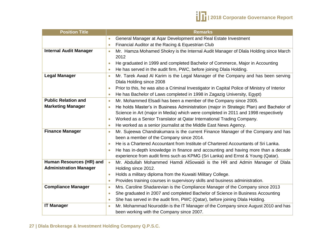

| <b>Position Title</b>         | <b>Remarks</b>                                                                                             |
|-------------------------------|------------------------------------------------------------------------------------------------------------|
|                               | General Manager at Aqar Development and Real Estate Investment<br>$\bullet$                                |
|                               | Financial Auditor at the Racing & Equestrian Club<br>$\bullet$                                             |
| <b>Internal Audit Manager</b> | Mr. Hamza Mohamed Shokry is the Internal Audit Manager of Dlala Holding since March<br>$\bullet$           |
|                               | 2012                                                                                                       |
|                               | He graduated in 1999 and completed Bachelor of Commerce, Major in Accounting<br>$\bullet$                  |
|                               | He has served in the audit firm, PWC, before joining Dlala Holding.<br>$\bullet$                           |
| <b>Legal Manager</b>          | Mr. Tarek Awad Al Karim is the Legal Manager of the Company and has been serving<br>$\bullet$              |
|                               | Dlala Holding since 2008                                                                                   |
|                               | Prior to this, he was also a Criminal Investigator in Capital Police of Ministry of Interior<br>$\bullet$  |
|                               | He has Bachelor of Laws completed in 1998 in Zagazig University, Egypt)<br>$\langle \cdot \rangle$         |
| <b>Public Relation and</b>    | Mr. Mohammed Elsadi has been a member of the Company since 2005.<br>$\bullet$                              |
| <b>Marketing Manager</b>      | He holds Master's in Business Administration (major in Strategic Plan) and Bachelor of<br>$\bullet$        |
|                               | Science in Art (major in Media) which were completed in 2011 and 1998 respectively                         |
|                               | Worked as a Senior Translator at Qatar International Trading Company.<br>$\bullet$                         |
|                               | He worked as a senior journalist at the Middle East News Agency.<br>$\bullet$                              |
| <b>Finance Manager</b>        | Mr. Sujeewa Chandrakumara is the current Finance Manager of the Company and has<br>$\overline{\mathbb{C}}$ |
|                               | been a member of the Company since 2014.                                                                   |
|                               | He is a Chartered Accountant from Institute of Chartered Accountants of Sri Lanka.                         |
|                               | He has in-depth knowledge in finance and accounting and having more than a decade<br>$\bullet$             |
|                               | experience from audit firms such as KPMG (Sri Lanka) and Ernst & Young (Qatar).                            |
| Human Resources (HR) and      | Mr. Abdullah Mohammed Hamdi AlSowaidi is the HR and Admin Manager of Dlala<br>$\bullet$                    |
| <b>Administration Manager</b> | Holding since 2012.                                                                                        |
|                               | Holds a military diploma from the Kuwaiti Military College.<br>$\bullet$                                   |
|                               | Provides training courses in supervisory skills and business administration.<br>$\bullet$                  |
| <b>Compliance Manager</b>     | Mrs. Caroline Shadarevian is the Compliance Manager of the Company since 2013<br>$\bullet$                 |
|                               | She graduated in 2007 and completed Bachelor of Science in Business Accounting<br>$\bullet$                |
|                               | She has served in the audit firm, PWC (Qatar), before joining Dlala Holding.<br>$\bullet$                  |
| <b>IT Manager</b>             | Mr. Mohammad Nouroddin is the IT Manager of the Company since August 2010 and has<br>$\bullet$             |
|                               | been working with the Company since 2007.                                                                  |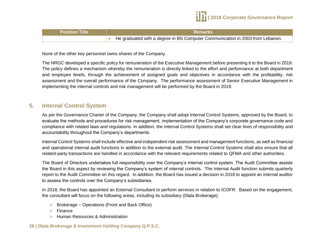

| <b>Position Title</b> | <b>Remarks</b>                                                                          |
|-----------------------|-----------------------------------------------------------------------------------------|
|                       | $\bullet$ He graduated with a degree in BS Computer Communication in 2003 from Lebanon. |

None of the other key personnel owns shares of the Company.

The NRGC developed a specific policy for remuneration of the Executive Management before presenting it to the Board in 2019. The policy defines a mechanism whereby the remuneration is directly linked to the effort and performance at both department and employee levels, through the achievement of assigned goals and objectives in accordance with the profitability, risk assessment and the overall performance of the Company. The performance assessment of Senior Executive Management in implementing the internal controls and risk management will be performed by the Board in 2019.

## <span id="page-27-0"></span>**5. Internal Control System**

As per the Governance Charter of the Company, the Company shall adopt Internal Control Systems, approved by the Board, to evaluate the methods and procedures for risk management, implementation of the Company's corporate governance code and compliance with related laws and regulations. In addition, the Internal Control Systems shall set clear lines of responsibility and accountability throughout the Company's departments.

Internal Control Systems shall include effective and independent risk assessment and management functions, as well as financial and operational internal audit functions in addition to the external audit. The Internal Control Systems shall also ensure that all related-party transactions are handled in accordance with the relevant requirements related to QFMA and other authorities.

The Board of Directors undertakes full responsibility over the Company's internal control system. The Audit Committee assists the Board in this aspect by reviewing the Company's system of internal controls. The Internal Audit function submits quarterly report to the Audit Committee on this regard. In addition, the Board has issued a decision in 2018 to appoint an internal auditor to assess the controls over the Company's subsidiaries.

In 2018, the Board has appointed an External Consultant to perform services in relation to ICOFR. Based on the engagement, the consultant will focus on the following areas, including its subsidiary (Dlala Brokerage):

- $\triangleright$  Brokerage Operations (Front and Back Office)
- $\triangleright$  Finance
- ▶ Human Resources & Administration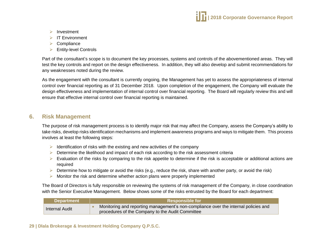

- $\triangleright$  Investment
- $\triangleright$  IT Environment
- $\triangleright$  Compliance
- $\triangleright$  Entity-level Controls

Part of the consultant's scope is to document the key processes, systems and controls of the abovementioned areas. They will test the key controls and report on the design effectiveness. In addition, they will also develop and submit recommendations for any weaknesses noted during the review.

As the engagement with the consultant is currently ongoing, the Management has yet to assess the appropriateness of internal control over financial reporting as of 31 December 2018. Upon completion of the engagement, the Company will evaluate the design effectiveness and implementation of internal control over financial reporting. The Board will regularly review this and will ensure that effective internal control over financial reporting is maintained.

## <span id="page-28-0"></span>**6. Risk Management**

The purpose of risk management process is to identify major risk that may affect the Company, assess the Company's ability to take risks, develop risks identification mechanisms and implement awareness programs and ways to mitigate them. This process involves at least the following steps:

- $\triangleright$  Identification of risks with the existing and new activities of the company
- $\triangleright$  Determine the likelihood and impact of each risk according to the risk assessment criteria
- $\triangleright$  Evaluation of the risks by comparing to the risk appetite to determine if the risk is acceptable or additional actions are required
- $\triangleright$  Determine how to mitigate or avoid the risks (e.g., reduce the risk, share with another party, or avoid the risk)
- $\triangleright$  Monitor the risk and determine whether action plans were properly implemented

The Board of Directors is fully responsible on reviewing the systems of risk management of the Company, in close coordination with the Senior Executive Management. Below shows some of the risks entrusted by the Board for each department:

| <b>Department</b>     | <b>Responsible for</b>                                                                                                                  |  |
|-----------------------|-----------------------------------------------------------------------------------------------------------------------------------------|--|
| <b>Internal Audit</b> | Monitoring and reporting management's non-compliance over the internal policies and<br>procedures of the Company to the Audit Committee |  |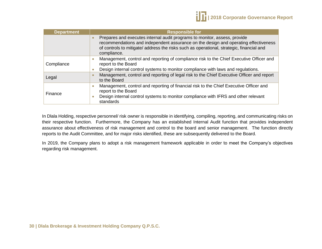| <b>Department</b> | <b>Responsible for</b>                                                                                                                                                                                                                                                      |  |  |
|-------------------|-----------------------------------------------------------------------------------------------------------------------------------------------------------------------------------------------------------------------------------------------------------------------------|--|--|
|                   | Prepares and executes internal audit programs to monitor, assess, provide<br>recommendations and independent assurance on the design and operating effectiveness<br>of controls to mitigate/ address the risks such as operational, strategic, financial and<br>compliance. |  |  |
| Compliance        | Management, control and reporting of compliance risk to the Chief Executive Officer and<br>report to the Board                                                                                                                                                              |  |  |
|                   | Design internal control systems to monitor compliance with laws and regulations.                                                                                                                                                                                            |  |  |
| Legal             | Management, control and reporting of legal risk to the Chief Executive Officer and report<br>to the Board                                                                                                                                                                   |  |  |
| Finance           | Management, control and reporting of financial risk to the Chief Executive Officer and<br>report to the Board<br>Design internal control systems to monitor compliance with IFRS and other relevant                                                                         |  |  |
|                   | standards                                                                                                                                                                                                                                                                   |  |  |

In Dlala Holding, respective personnel/ risk owner is responsible in identifying, compiling, reporting, and communicating risks on their respective function. Furthermore, the Company has an established Internal Audit function that provides independent assurance about effectiveness of risk management and control to the board and senior management. The function directly reports to the Audit Committee, and for major risks identified, these are subsequently delivered to the Board.

In 2019, the Company plans to adopt a risk management framework applicable in order to meet the Company's objectives regarding risk management.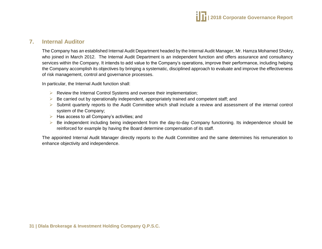

## <span id="page-30-0"></span>**7. Internal Auditor**

The Company has an established Internal Audit Department headed by the Internal Audit Manager, Mr. Hamza Mohamed Shokry, who joined in March 2012. The Internal Audit Department is an independent function and offers assurance and consultancy services within the Company. It intends to add value to the Company's operations, improve their performance, including helping the Company accomplish its objectives by bringing a systematic, disciplined approach to evaluate and improve the effectiveness of risk management, control and governance processes.

In particular, the Internal Audit function shall:

- $\triangleright$  Review the Internal Control Systems and oversee their implementation;
- $\triangleright$  Be carried out by operationally independent, appropriately trained and competent staff; and
- $\triangleright$  Submit quarterly reports to the Audit Committee which shall include a review and assessment of the internal control system of the Company;
- $\triangleright$  Has access to all Company's activities; and
- Be independent including being independent from the day-to-day Company functioning. Its independence should be reinforced for example by having the Board determine compensation of its staff.

The appointed Internal Audit Manager directly reports to the Audit Committee and the same determines his remuneration to enhance objectivity and independence.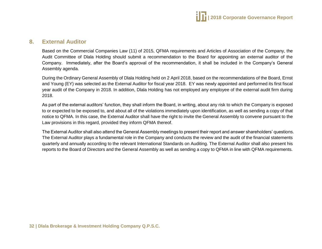

## <span id="page-31-0"></span>**8. External Auditor**

Based on the Commercial Companies Law (11) of 2015, QFMA requirements and Articles of Association of the Company, the Audit Committee of Dlala Holding should submit a recommendation to the Board for appointing an external auditor of the Company. Immediately, after the Board's approval of the recommendation, it shall be included in the Company's General Assembly agenda.

During the Ordinary General Assembly of Dlala Holding held on 2 April 2018, based on the recommendations of the Board, Ernst and Young (EY) was selected as the External Auditor for fiscal year 2018. EY was newly appointed and performed its first fiscal year audit of the Company in 2018. In addition, Dlala Holding has not employed any employee of the external audit firm during 2018.

As part of the external auditors' function, they shall inform the Board, in writing, about any risk to which the Company is exposed to or expected to be exposed to, and about all of the violations immediately upon identification, as well as sending a copy of that notice to QFMA. In this case, the External Auditor shall have the right to invite the General Assembly to convene pursuant to the Law provisions in this regard, provided they inform QFMA thereof.

The External Auditor shall also attend the General Assembly meetings to present their report and answer shareholders' questions. The External Auditor plays a fundamental role in the Company and conducts the review and the audit of the financial statements quarterly and annually according to the relevant International Standards on Auditing. The External Auditor shall also present his reports to the Board of Directors and the General Assembly as well as sending a copy to QFMA in line with QFMA requirements.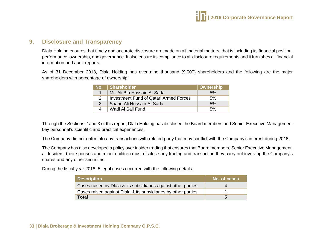## <span id="page-32-0"></span>**9. Disclosure and Transparency**

Dlala Holding ensures that timely and accurate disclosure are made on all material matters, that is including its financial position, performance, ownership, and governance. It also ensure its compliance to all disclosure requirements and it furnishes all financial information and audit reports.

As of 31 December 2018, Dlala Holding has over nine thousand (9,000) shareholders and the following are the major shareholders with percentage of ownership:

|                        | No. Shareholder                               | Ownership |
|------------------------|-----------------------------------------------|-----------|
|                        | Mr. Ali Bin Hussain Al-Sada                   | 5%        |
| $\mathcal{P}$          | <b>Investment Fund of Qatari Armed Forces</b> | 5%        |
| 3                      | Shahd Ali Hussain Al-Sada                     | 5%        |
| $\boldsymbol{\Lambda}$ | Wadi Al Sail Fund                             | .5%       |

Through the Sections 2 and 3 of this report, Dlala Holding has disclosed the Board members and Senior Executive Management key personnel's scientific and practical experiences.

The Company did not enter into any transactions with related party that may conflict with the Company's interest during 2018.

The Company has also developed a policy over insider trading that ensures that Board members, Senior Executive Management, all Insiders, their spouses and minor children must disclose any trading and transaction they carry out involving the Company's shares and any other securities.

During the fiscal year 2018, 5 legal cases occurred with the following details:

| <b>Description</b>                                             | No. of cases |
|----------------------------------------------------------------|--------------|
| Cases raised by Dlala & its subsidiaries against other parties | Δ            |
| Cases raised against Dlala & its subsidiaries by other parties |              |
| <b>Total</b>                                                   | h            |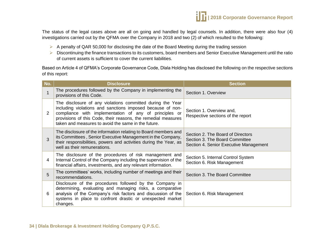

The status of the legal cases above are all on going and handled by legal counsels. In addition, there were also four (4) investigations carried out by the QFMA over the Company in 2018 and two (2) of which resulted to the following:

- $\triangleright$  A penalty of QAR 50,000 for disclosing the date of the Board Meeting during the trading session
- $\triangleright$  Discontinuing the finance transactions to its customers, board members and Senior Executive Management until the ratio of current assets is sufficient to cover the current liabilities.

Based on Article 4 of QFMA's Corporate Governance Code, Dlala Holding has disclosed the following on the respective sections of this report:

| No.            | <b>Disclosure</b>                                                                                                                                                                                                                                                                                          | <b>Section</b>                                                                                                |
|----------------|------------------------------------------------------------------------------------------------------------------------------------------------------------------------------------------------------------------------------------------------------------------------------------------------------------|---------------------------------------------------------------------------------------------------------------|
| $\mathbf 1$    | The procedures followed by the Company in implementing the<br>provisions of this Code.                                                                                                                                                                                                                     | Section 1. Overview                                                                                           |
| $\overline{2}$ | The disclosure of any violations committed during the Year<br>including violations and sanctions imposed because of non-<br>compliance with implementation of any of principles or<br>provisions of this Code, their reasons, the remedial measures<br>taken and measures to avoid the same in the future. | Section 1. Overview and,<br>Respective sections of the report                                                 |
| 3              | The disclosure of the information relating to Board members and<br>its Committees, Senior Executive Management in the Company,<br>their responsibilities, powers and activities during the Year, as<br>well as their remunerations.                                                                        | Section 2. The Board of Directors<br>Section 3. The Board Committee<br>Section 4. Senior Executive Management |
| 4              | The disclosure of the procedures of risk management and<br>Internal Control of the Company including the supervision of the<br>financial affairs, investments, and any relevant information.                                                                                                               | Section 5. Internal Control System<br>Section 6. Risk Management                                              |
| 5              | The committees' works, including number of meetings and their<br>recommendations.                                                                                                                                                                                                                          | Section 3. The Board Committee                                                                                |
| 6              | Disclosure of the procedures followed by the Company in<br>determining, evaluating and managing risks, a comparative<br>analysis of the Company's risk factors and discussion of the<br>systems in place to confront drastic or unexpected market<br>changes.                                              | Section 6. Risk Management                                                                                    |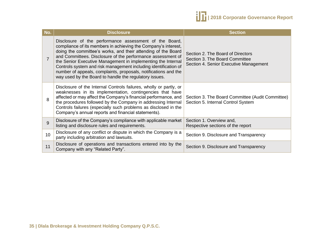

| No.             | <b>Disclosure</b>                                                                                                                                                                                                                                                                                                                                                                                                                                                                                                        | <b>Section</b>                                                                                                |
|-----------------|--------------------------------------------------------------------------------------------------------------------------------------------------------------------------------------------------------------------------------------------------------------------------------------------------------------------------------------------------------------------------------------------------------------------------------------------------------------------------------------------------------------------------|---------------------------------------------------------------------------------------------------------------|
| $\overline{7}$  | Disclosure of the performance assessment of the Board,<br>compliance of its members in achieving the Company's interest,<br>doing the committee's works, and their attending of the Board<br>and Committees. Disclosure of the performance assessment of<br>the Senior Executive Management in implementing the Internal<br>Controls system and risk management including identification of<br>number of appeals, complaints, proposals, notifications and the<br>way used by the Board to handle the regulatory issues. | Section 2. The Board of Directors<br>Section 3. The Board Committee<br>Section 4. Senior Executive Management |
| 8               | Disclosure of the Internal Controls failures, wholly or partly, or<br>weaknesses in its implementation, contingencies that have<br>affected or may affect the Company's financial performance, and<br>the procedures followed by the Company in addressing Internal<br>Controls failures (especially such problems as disclosed in the<br>Company's annual reports and financial statements).                                                                                                                            | Section 3. The Board Committee (Audit Committee)<br>Section 5. Internal Control System                        |
| 9               | Disclosure of the Company's compliance with applicable market<br>listing and disclosure rules and requirements.                                                                                                                                                                                                                                                                                                                                                                                                          | Section 1. Overview and,<br>Respective sections of the report                                                 |
| 10 <sup>°</sup> | Disclosure of any conflict or dispute in which the Company is a<br>party including arbitration and lawsuits.                                                                                                                                                                                                                                                                                                                                                                                                             | Section 9. Disclosure and Transparency                                                                        |
| 11              | Disclosure of operations and transactions entered into by the<br>Company with any "Related Party".                                                                                                                                                                                                                                                                                                                                                                                                                       | Section 9. Disclosure and Transparency                                                                        |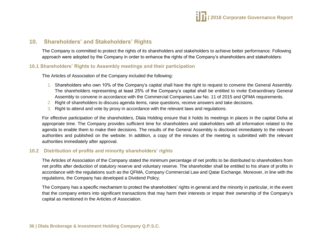## <span id="page-35-0"></span>**10. Shareholders' and Stakeholders' Rights**

The Company is committed to protect the rights of its shareholders and stakeholders to achieve better performance. Following approach were adopted by the Company in order to enhance the rights of the Company's shareholders and stakeholders:

#### **10.1 Shareholders' Rights to Assembly meetings and their participation**

The Articles of Association of the Company included the following:

- 1. Shareholders who own 10% of the Company's capital shall have the right to request to convene the General Assembly. The shareholders representing at least 25% of the Company's capital shall be entitled to invite Extraordinary General Assembly to convene in accordance with the Commercial Companies Law No. 11 of 2015 and QFMA requirements.
- 2. Right of shareholders to discuss agenda items, raise questions, receive answers and take decisions.
- 3. Right to attend and vote by proxy in accordance with the relevant laws and regulations.

For effective participation of the shareholders, Dlala Holding ensure that it holds its meetings in places in the capital Doha at appropriate time. The Company provides sufficient time for shareholders and stakeholders with all information related to the agenda to enable them to make their decisions. The results of the General Assembly is disclosed immediately to the relevant authorities and published on the website. In addition, a copy of the minutes of the meeting is submitted with the relevant authorities immediately after approval.

#### **10.2 Distribution of profits and minority shareholders' rights**

The Articles of Association of the Company stated the minimum percentage of net profits to be distributed to shareholders from net profits after deduction of statutory reserve and voluntary reserve. The shareholder shall be entitled to his share of profits in accordance with the regulations such as the QFMA, Company Commercial Law and Qatar Exchange. Moreover, in line with the regulations, the Company has developed a Dividend Policy.

The Company has a specific mechanism to protect the shareholders' rights in general and the minority in particular, in the event that the company enters into significant transactions that may harm their interests or impair their ownership of the Company's capital as mentioned in the Articles of Association.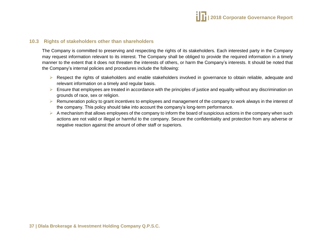

#### **10.3 Rights of stakeholders other than shareholders**

The Company is committed to preserving and respecting the rights of its stakeholders. Each interested party in the Company may request information relevant to its interest. The Company shall be obliged to provide the required information in a timely manner to the extent that it does not threaten the interests of others, or harm the Company's interests. It should be noted that the Company's internal policies and procedures include the following:

- Respect the rights of stakeholders and enable stakeholders involved in governance to obtain reliable, adequate and relevant information on a timely and regular basis.
- $\triangleright$  Ensure that employees are treated in accordance with the principles of justice and equality without any discrimination on grounds of race, sex or religion.
- $\triangleright$  Remuneration policy to grant incentives to employees and management of the company to work always in the interest of the company. This policy should take into account the company's long-term performance.
- $\triangleright$  A mechanism that allows employees of the company to inform the board of suspicious actions in the company when such actions are not valid or illegal or harmful to the company. Secure the confidentiality and protection from any adverse or negative reaction against the amount of other staff or superiors.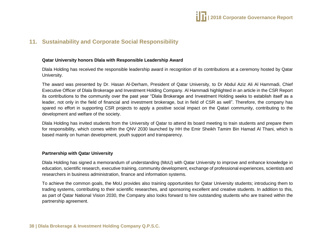

## <span id="page-37-0"></span>**11. Sustainability and Corporate Social Responsibility**

#### **Qatar University honors Dlala with Responsible Leadership Award**

Dlala Holding has received the responsible leadership award in recognition of its contributions at a ceremony hosted by Qatar University.

The award was presented by Dr. Hasan Al-Derham, President of Qatar University, to Dr Abdul Aziz Ali Al Hammadi, Chief Executive Officer of Dlala Brokerage and Investment Holding Company. Al Hammadi highlighted in an article in the CSR Report its contributions to the community over the past year "Dlala Brokerage and Investment Holding seeks to establish itself as a leader, not only in the field of financial and investment brokerage, but in field of CSR as well". Therefore, the company has spared no effort in supporting CSR projects to apply a positive social impact on the Qatari community, contributing to the development and welfare of the society.

Dlala Holding has invited students from the University of Qatar to attend its board meeting to train students and prepare them for responsibility, which comes within the QNV 2030 launched by HH the Emir Sheikh Tamim Bin Hamad Al Thani, which is based mainly on human development, youth support and transparency.

#### **Partnership with Qatar University**

Dlala Holding has signed a memorandum of understanding (MoU) with Qatar University to improve and enhance knowledge in education, scientific research, executive training, community development, exchange of professional experiences, scientists and researchers in business administration, finance and information systems.

To achieve the common goals, the MoU provides also training opportunities for Qatar University students; introducing them to trading systems, contributing to their scientific researches, and sponsoring excellent and creative students. In addition to this, as part of Qatar National Vision 2030, the Company also looks forward to hire outstanding students who are trained within the partnership agreement.